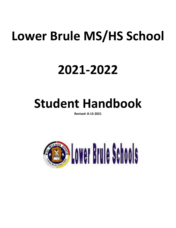# **Lower Brule MS/HS School**

# **2021-2022**

## **Student Handbook**

**Revised: 8-13-2021**

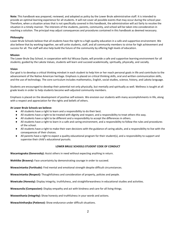**Note:** This handbook was prepared, reviewed, and adopted as policy by the Lower Brule administrative staff. It is intended to provide an optimal learning experience for all students. It will not cover all possible events that may occur during the school year. Therefore, when a situation arises that is not specifically covered in this handbook, the administration will act fairly to resolve the situation in a timely manner. The interests of the students, parents, community, and school will be taken into consideration in reaching a solution. The principal may adjust consequences and procedures contained in this handbook as deemed necessary.

#### **Philosophy**

Lower Brule Schools believe that all students have the right to a high-quality education in a safe and supportive environment. We also believe that by working together, we will unite students, staff, and all community members to strive for high achievement and success for all. The staff will also help build the future of the community by offering high levels of education.

#### **Mission**

The Lower Brule Day School, in cooperation with Kul Wicasa Oyate, will provide a safe and supportive learning environment for all students; guided by the Lakota Values, students will learn and succeed academically, spiritually, physically, and socially.

#### **Vision**

Our goal is to develop a critical thinking mindset in each student to help him or her reach personal goals in life and contribute to the advancement of the Native American heritage. Emphasis is placed on critical thinking skills, oral and written communication skills, and the use of technology. The core curriculum includes mathematics, English, social studies, science, history, and Lakota language.

Students are encouraged to develop their potential not only physically, but mentally and spiritually as well. Wellness is taught at all grade levels in order to help students become well-adjusted community members.

Emphasis is placed on the development of positive self-esteem. We envision our students with many accomplishments in life, along with a respect and appreciation for the rights and beliefs of others.

#### **At Lower Brule Schools we believe:**

- All students have a right to learn and a responsibility to do their best.
- All students have a right to be treated with dignity and respect, and a responsibility to treat others this way.
- All students have a right to be different and a responsibility to accept the differences in others.
- All students have a right to learn in a safe and caring environment, and a responsibility to follow the rules and procedures of the school.
- All students have a right to make their own decisions with the guidance of caring adults, and a responsibility to live with the consequences of their choices.
- All parents have a right to expect a quality educational program for their student(s), and a responsibility to support and supervise their child's educational pursuits.

#### **LOWER BRULE SCHOOLS STUDENT CODE OF CONDUCT**

**Wacantognaka (Generosity):** Assist others in need without expecting anything in return.

**Wohitike (Bravery):** Face uncertainty by demonstrating courage in order to succeed.

**Wowacintanka (Fortitude):** Find mental and emotional strength despite difficult circumstances.

**Wowacintanka (Respect):** Thoughtfulness and consideration of property, policies and people.

**Wowicake (Honesty):** Display integrity, truthfulness, and straightforwardness in educational studies and activities.

**Wowaunsila (Compassion):** Display empathy and act with kindness and care for all living things.

**Woowothania (Integrity):** Show honesty and truthfulness in your words and actions.

**Wowachinthanjka (Patience):** Show endurance under difficult situations.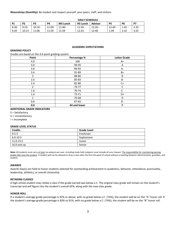**Wounsiiciye (Humility):** Be modest and respect yourself, your peers, staff, and visitors.

|           | <b>DAILY SCHEDULE</b> |                |        |                 |                 |                |                |           |          |
|-----------|-----------------------|----------------|--------|-----------------|-----------------|----------------|----------------|-----------|----------|
| <b>P1</b> | <b>P2</b>             | P <sub>3</sub> | P4     | <b>MS Lunch</b> | <b>HS Lunch</b> | <b>Advisor</b> | P <sub>5</sub> | <b>P6</b> | P7       |
| $8:30-$   | $9:23-$               | $10:16 -$      | 11:09- | $11:40-$        | $11:59 -$       | $12:26 -$      | $12:49 -$      | 1:42      | $2:35 -$ |
| 9:20      | 10:13                 | 11:06          | 11:59  | 11:59           | 12:23           | 12:46          | 1:39           | 2:32      | 3:25     |

#### **ACADEMIC EXPECTATIONS**

#### **GRADING POLICY**

Grades are based on the 4.0-point grading system.

| Point | Percentage % | <b>Letter Grade</b> |
|-------|--------------|---------------------|
| 4.0   | 100          | A+                  |
| 4.0   | 99-95        | Α                   |
| 3.6   | 94-92        | A-                  |
| 3.4   | 91-89        | $B+$                |
| 3     | 88-86        | В                   |
| 2.6   | 85-83        | <b>B-</b>           |
| 2.4   | 82-80        | $C+$                |
| 2     | 79-77        | C                   |
| 1.6   | 76-74        | $C-$                |
| 1.4   | 73-71        | D+                  |
| 1     | 70-68        | D                   |
| 0.6   | 67-65        | D-                  |
| 0.0   | 64 and lower | F                   |

## **ADDITIONAL GRADE INDICATORS**

S = Satisfactory

U = Unsatisfactory

I = Incomplete

#### **GRADE LEVEL STATUS**

| <b>Credits</b> | <b>Grade Level</b> |
|----------------|--------------------|
| $0 - 5.5$      | Freshman           |
| $6.0 - 10.5$   | Sophomore          |
| 11.0-15.5      | Junior             |
| $16.0$ and up  | Senior             |

Note: All students must carry at least six subjects per year, including study halls (subjects must include all core classes). The responsibility for maintaining passing grades falls onto the student. A student will not be allowed to drop a class after the first full week of school without a meeting between administration, guardian, and student.

#### **AWARDS**

Awards Day(s) are held to honor students selected for outstanding achievement in academics, behavior, attendance, punctuality, leadership, athletics, or overall citizenship.

#### **RETAKING CLASSES**

A high school student may retake a class if the grade earned was below a C. The original class grade will remain on the student's transcript and will figure into the student's overall GPA, along with the new class grade.

## **HONOR ROLL**

If a student's average grade percentage is 92% or above, with no grade below a C- (74%), the student will be on the "A" honor roll. If the student's average grade percentage is 83% to 91%, with no grade below a C- (74%), the student will be on the "B" honor roll.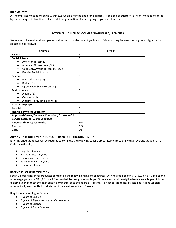## **INCOMPLETES**

All incompletes must be made up within two weeks after the end of the quarter. At the end of quarter 4, all work must be made up by the last day of instruction, or by the date of graduation (if you're going to graduate that year).

## **LOWER BRULE HIGH SCHOOL GRADUATION REQUIREMENTS**

Seniors must have all work completed and turned in by the date of graduation. Minimum requirements for high school graduation classes are as follows:

| <b>Courses</b>                                   | <b>Credits</b> |
|--------------------------------------------------|----------------|
| <b>English</b>                                   | 4              |
| <b>Social Science</b>                            | 3              |
| American History (1)<br>$\bullet$                |                |
| American Government( 1/2)                        |                |
| Geography/World History (1/2) each               |                |
| <b>Elective Social Science</b>                   |                |
| <b>Science</b>                                   | 3              |
| Physical Science (1)<br>$\bullet$                |                |
| Biology (1)                                      |                |
| Upper Level Science Course (1)                   |                |
| <b>Mathematics</b>                               | 3              |
| Algebra (1)<br>$\bullet$                         |                |
| Geometry (1)                                     |                |
| Algebra II or Math Elective (1)                  |                |
| Lakota Language                                  | $\overline{2}$ |
| <b>Fine Arts</b>                                 | $\mathbf{1}$   |
| <b>Health &amp; Physical Education</b>           | $\mathbf{1}$   |
| Approved Career/Technical Education; Capstone OR | $\mathbf{1}$   |
| Service Learning; World Language                 |                |
| <b>Personal Finance/Economics</b>                | 0.5            |
| <b>Electives</b>                                 | 3.5            |
| <b>Total</b>                                     | 22             |

## **ADMISSION REQUIREMENTS TO SOUTH DAKOTA PUBLIC UNIVERSITIES**

Entering undergraduates will be required to complete the following college preparatory curriculum with an average grade of a "C" (2.0 on a 4.0 scale).

- $\bullet$  English 4 years
- $\bullet$  Mathematics  $-3$  years
- $\bullet$  Science with lab  $-3$  years
- Social Sciences 3 years
- Fine Arts 1 year

## **REGENT SCHOLAR RECOGNITION**

South Dakota high school graduates completing the following high school courses, with no grade below a "C" (2.0 on a 4.0 scale) and an average grade of a "B" (3.0 on a 4.0 scale) shall be designated as Regent Scholars and shall be eligible to receive a Regent Scholar diploma upon request by a high school administrator to the Board of Regents. High school graduates selected as Regent Scholars automatically are admitted to all six public universities in South Dakota.

Requirements for Regent Scholar:

- 4 years of English
- 4 years of Algebra or higher Mathematics
- 4 years of Science
- 3 years of Social Science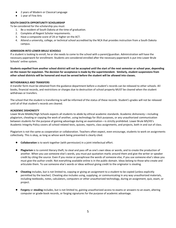- 2 years of Modern or Classical Language
- 1 year of Fine Arts

## **SOUTH DAKOTA OPPORTUNITY SCHOLARSHIP**

To be considered for the scholarship you must:

- 1. Be a resident of South Dakota at the time of graduation.
- 2. Complete all Regent Scholar requirements.
- 3. Have a composite score of 24 or higher on the ACT.
- 4. Attend a university, college, or technical school accredited by the NCA that provides instruction from a South Dakota campus.

## **ADMISSION INTO LOWER BRULE SCHOOLS**

If a student is looking to enroll, he or she needs to come to the school with a parent/guardian. Administration will have the necessary paperwork for enrollment. Students are considered enrolled after the necessary paperwork is put into Lower Brule Schools' online system.

**Students expelled from another school district will not be accepted until the start of the next semester or school year, depending on the reason for expulsion. The decision for acceptance is made by the superintendent. Similarly, student suspensions from other school districts will be honored and must be served before the student will be allowed into classes.**

### **WITHDRAWALS AND TRANSFERS**

A transfer form must be obtained from the guidance department before a student's records can be released to other schools. All books, financial records, and restrictions or charges due to destruction of school property MUST be cleared when the student withdraws or transfers.

The school that the student is transferring to will be informed of the status of these records. Student's grades will not be released until all of that student's records are cleared.

### **ACADEMIC DISHONESTY**

Lower Brule Middle/High Schools expects all students to abide by ethical academic standards. Academic dishonesty—including plagiarism, cheating or copying the work of another, using technology for illicit purposes, or any unauthorized communication between students for the purpose of gaining advantage during an examination—is strictly prohibited. Lower Brule MS/HS's Academic Integrity Policy covers all school-related tests, quizzes, reports, class assignments, and projects, both in and out of class.

Plagiarism is not the same as cooperation or collaboration. Teachers often expect, even encourage, students to work on assignments collectively. This is okay, as long as whose work being presented is clearly cited.

- **Collaboration** is to work together (with permission) in a joint intellectual effort.
- Plagiarism is to commit literary theft; to steal and pass off as one's own ideas or words, and to create the production of another. When you use someone else's words, you must put quotation marks around them and give the writer or speaker credit by citing the source. Even if you revise or paraphrase the words of someone else, if you use someone else's ideas you must give the author credit. Not everything available online is in the public domain. Ideas belong to those who create and articulate them. To use someone else's words or ideas without giving credit to the originator is stealing.
- **Cheating** includes, but is not limited to, copying or giving an assignment to a student to be copied (unless explicitly permitted by the teacher). Cheating also includes using, supplying, or communicating in any way unauthorized materials, including textbooks, notes, calculators, computers or other unauthorized technology, during an assignment, quiz, exam, or project.
- Forgery or stealing includes, but is not limited to, gaining unauthorized access to exams or answers to an exam, altering computer or grade-book records, or forging signatures for the purpose of academic advantage.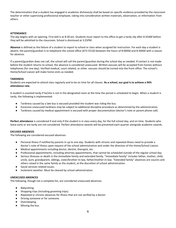The determination that a student has engaged in academic dishonesty shall be based on specific evidence provided by the classroom teacher or other supervising professional employee, taking into consideration written materials, observation, or information from others.

## **ATTENDANCE**

The day begins with an opening. First bell is at 8:30 am. Students must report to the office to get a tardy slip after 8:35AM before they will be admitted to the classroom. School is dismissed at 3:25PM.

**Absence** is defined as the failure of a student to report to school or class when assigned for instruction. For each day a student is absent, the parent/guardian is to telephone the school office (473-5510) between the hours of 8:00AM and 8:30AM with a reason for absence.

If a parent/guardian does not call, the school will call the parent/guardian during the school day as needed. If contact is not made before the student returns to school, the absence is considered unexcused. Written excuses will be accepted from homes without telephones (for one day). Verified medical, court related, or other. excuses should be turned into the front office. The school's Home/School Liaison will make home visits as needed.

## **TARDINESS**

Students are expected to attend class regularly and to be on time for all classes. **As a school, our goal is to achieve a 94% attendance rate.**

A student is counted tardy if he/she is not in the designated room at the time the period is scheduled to begin. When a student is tardy, the following is implemented:

- Tardiness caused by a late bus is excused provided the student was riding the bus.
- Excessive unexcused tardiness may be subject to additional discipline procedure as determined by the administration.
- Tardiness caused by medical appointment is excused with proper documentation (doctor's note or parent phone call).

**Perfect attendance** is considered if and only if the student is in class every day, for the full school day, and on time. Students who leave early or are tardy are not considered. Perfect attendance awards will be presented each quarter alongside academic awards.

## **EXCUSED ABSENCES**

The following are considered excused absences:

- Personal illness if notified by parents in up to one day. Students with chronic and repeated illness need to provide a doctor's note of illness upon request of the school administration and under the direction of the Home/School Liaison.
- Medical appointments including doctor, dentist, therapist, etc.
- Professional appointments, including attorney appointments, that cannot be scheduled outside of the regular school day.
- Serious illnesses or death in the immediate family and extended family. "Immediate family" includes father, mother, child, uncle, aunt, grandparent, siblings, sister/brother-in-law, father/mother-in-law. "Extended family" absences are cousins and others raised in the same family as the student, at the discretion of school administration.
- Social services related issues.
- Inclement weather. Must be cleared by school administration.

## **UNEXCUSED ABSENCES**

The following, though not a complete list, are considered unexcused absences.

- Babysitting.
- Shopping trips (including grooming trips).
- Repeated or chronic absences for illness that are not verified by a doctor.
- Driving someone or for someone.
- Oversleeping.
- Missing the bus.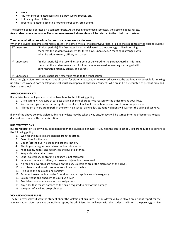- Work.
- Any non-school related activities, i.e. pow wows, rodeos, etc.
- Not having clean clothes.
- Tiredness related to athletic or other school-sponsored events.

The absence policy operates on a semester basis. At the beginning of each semester, the absence policy resets. **Any student who accumulates five or more unexcused absent days** will be referred to the tribal court system.

## **The communication procedure for unexcused absences is as follows:**

When the student becomes chronically absent, the office will call the parent/guardian, or go to the residence of the absent student.

| 3 <sup>rd</sup> unexcused | (21 class periods) The first letter is sent or delivered to the parent/guardian informing<br>them that the student was absent for three days, unexcused. A meeting is arranged with<br>administration, truancy officer, and parent. |
|---------------------------|-------------------------------------------------------------------------------------------------------------------------------------------------------------------------------------------------------------------------------------|
| 4 <sup>th</sup> unexcused | (28 class periods) The second letter is sent or delivered to the parent/guardian informing<br>them that the student was absent for four days, unexcused. A meeting is arranged with<br>administration, truancy officer, and parent. |
| 5 <sup>th</sup> unexcused | (35 class periods) A referral is made to the tribal courts.                                                                                                                                                                         |

If a parent/guardian takes a student out of school for either an excused or unexcused absence, the student is responsible for making up all missed work. A note or telephone call must accompany all absences. Students who are in ISS are counted as present provided they are in school.

## **AUTOMOBILE POLICY**

If you drive to school, you are required to adhere to the following policy:

- 1. Drive carefully. Any type of careless driving on school property is reason for the office to take your keys.
- 2. You may not go to your car during class, breaks, or lunch unless you have permission from office personnel.
- 3. All student drivers are to park in the front high school parking lot. Student violations will warrant the taking of car keys.

If any of the above policy is violated, driving privilege may be taken away and/or keys will be turned into the office for as long as deemed necessary by the administration.

## **BUS EXPECTATIONS**

Bus transportation is a privilege, conditional upon the student's behavior. If you ride the bus to school, you are required to adhere to the following policy:

- 1. Wait for the bus at a safe distance from the street.
- 2. Be on time for the bus.
- 3. Get on/off the bus in a quiet and orderly fashion.
- 4. Stay in your assigned seat when the bus is in motion.
- 5. Keep heads, hands, and feet inside the bus at all times.
- 6. Keep aisles clear at all times.
- 7. Loud, boisterous, or profane language is not tolerated.
- 8. Indecent conduct, scuffling, or throwing objects is not tolerated.
- 9. No food or beverages are allowed on the bus. Exceptions are at the discretion of the driver.
- 10. No tobacco or alcoholic products are allowed on the bus.
- 11. Help keep the bus clean and sanitary.
- 12. Enter and leave the bus by the front door only, except in case of emergency.
- 13. Be courteous and obedient to your bus driver.
- 14. Bus drivers and administration can assign seats.
- 15. Any rider that causes damage to the bus is required to pay for the damage.
- 16. Weapons of any kind are prohibited.

## **VIOLATION OF BUS RULES**

The bus driver will visit with the student about the violation of bus rules. The bus driver will also fill out an incident report for the administration. Upon receiving an incident report, the administration will meet with the student and inform the parent/guardian.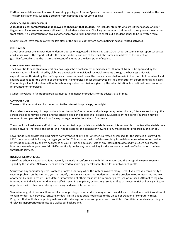Further bus violations result in loss of bus-riding privileges. A parent/guardian may also be asked to accompany the child on the bus. The administration may suspend a student from riding the bus for up to 15 days.

## **CHECK OUT/LEAVING CAMPUS**

**A student's legal parent/guardian is allowed to check out that student.** This includes students who are 18 years of age or older. Regardless of age, students are not allowed to check themselves out. Checking out a student is done with the sign-out sheet in the front office. If a parent/guardian gives another parent/guardian permission to check out a student, it has to be in written form.

Students must leave campus after the last class of the day unless they are participating in school-related activities.

## **CHILD ABUSE**

School employees are in a position to identify abused or neglected children. SSCL 26-10-10 school personnel must report suspected child abuse cases. The report includes the name, address, and age of the child, the name and address of the parent or guardian/caretaker, and the nature and extent of injuries or the description of neglect.

## **CLUBS AND FUNDRAISING**

The Lower Brule Schools administration encourages the establishment of school clubs. All new clubs must be approved by the administration. All funds raised by clubs are deposited into individual custodial accounts through the business office with expenditures authorized by the club's sponsor. However, in all cases, the money raised shall remain in the control of the school and shall be expended for the benefit of the students. All fundraisers must be approved by the administration before fundraising begins. Fundraising will not take place within the school day unless permission is given by the administration. Instructional time cannot be interrupted for fundraising.

Students involved in fundraising projects must turn in money or products to the advisors at all times.

## **COMPUTER USE**

The use of the network and its connection to the internet is a privilege, not a right.

If a student violates any of the provisions listed below, his/her account and privileges may be terminated, future access through the school's facilities may be denied, and the school's discipline policies shall be applied. Students or their parent/guardian may be required to compensate the school for any damage done to the network/hardware.

The school shall make every effort to restrict access to inappropriate materials; however, it is impossible to control all materials on a global network. Therefore, the school shall not be liable for the content or viewing of any materials not prepared by the school.

Lower Brule School District (LBSD) makes no warranties of any kind, whether expressed or implied, for the services it is providing. LBSD is not responsible for any damages you suffer. This includes the loss of data resulting from delays, non-deliveries, or service interruptions caused by its own negligence or your errors or omissions. Use of any information obtained via LBSD's designated internet system is at your own risk. LBSD specifically denies any responsibility for the accuracy or quality of information obtained through its services.

## **RULES OF NETWORK USE**

Use of the school's network facilities may only be made in conformance with this regulation and the Acceptable Use Agreement signed by the student. Network users are expected to abide by generally accepted rules of network etiquette.

Security on any computer system is of high priority, especially when the system involves many users. If you feel you can identify a security problem on the internet, you must notify the administration. Do not demonstrate the problem to other users. Do not use another individual's account. Files, data, or information of others must not be improperly accessed or misused. Attempt to login to internet as an individual other than yourself will result in disciplinary action. Any user identified as a security risk or having a history of problems with other computer systems may be denied internet access.

Vandalism or graffiti may result in cancellation of privileges or other disciplinary actions. Vandalism is defined as a malicious attempt to harm or destroy hardware, software, or data. This includes but is not limited to the upload or creation of computer viruses. Programs that infiltrate computing systems and/or damage software components are prohibited. Graffiti is defined as importing or displaying inappropriate graphics as a wallpaper background.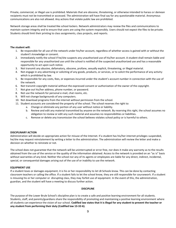Private, commercial, or illegal use is prohibited. Materials that are obscene, threatening, or otherwise intended to harass or demean recipients must not be transmitted or accessed. The administration will have final say for any questionable material. Anonymous communications are also not allowed. Any actions that violate public law are prohibited.

Network storage areas shall be treated like school lockers. Network administrators may review the files and communications to maintain system integrity and to ensure that users are using the system responsibly. Users should not expect the files to be private. Students should limit their printing to class assignments, class projects, and reports.

### **The student will:**

- 1. Be responsible for all use of the network under his/her account, regardless of whether access is gained with or without the student's knowledge or consent.
- 2. Immediately notify the school if he/she suspects any unauthorized use of his/her account. A student shall remain liable and responsible for any unauthorized use until the school is notified of the suspected unauthorized use and has a reasonable opportunity to act upon such notice.
- 3. Not transmit any abusive, defamatory, obscene, profane, sexually explicit, threatening, or illegal material.
- 4. Not engage in any advertising or soliciting of any goods, products, or services, or to solicit the performance of any activity which is prohibited by law.
- 5. Be responsible for any costs, fees, or expenses incurred under the student's account number in connection with the use of the network.
- 6. Not transmit copyright material without the expressed consent or authorization of the owner of the copyright.
- 7. Not give out his/her address, phone number, or password.
- 8. Not use the network for personal e-mail, chat rooms, etc.
- 9. Will not change backgrounds of any computers.
- 10. Not download programs from the internet without permission from the school.
- 11. Student accounts are considered the property of the school. The school reserves the right to:
	- a. Change or eliminate any portion of any user without notice or liability.
	- b. Review and edit any material transmitted by anyone on the network. By reserving this right, the school assumes no obligation to review or edit any such material and assumes no responsibilities or liabilities.
	- c. Remove or delete any transmission the school believes violates school policy or is harmful to others.

#### **DISCIPLINARY ACTION**

Administration will decide on appropriate action for misuse of the Internet. If a student has his/her internet privileges suspended, he/she may request reinstatement by writing a letter to the administration. The administration will review the letter and make a decision on whether to reinstate or not.

The school does not guarantee that the network will be uninterrupted or error free, nor does it make any warranty as to the results obtained from the use of the service or the quality of the information obtained. Access to the network is provided on an "as is" basis without warranties of any kind. Neither the school nor any of its agents or employees are liable for any direct, indirect, incidental, special, or consequential damages arising out of the use of or inability to use the network.

#### **EQUIPMENT USE**

If a student loses or damages equipment, it is his or her responsibility to let LB Schools know. This can be done by contacting classroom teachers or calling the office. If a student fails to let the school know, they are still responsible for coursework. If a student is misusing his or her computer or disrupting class, they may forfeit use of equipment. In the event of this, the administration, guardian, and the student will have a meeting to discuss further action.

#### **DISCIPLINE**

The purpose of the Lower Brule School's discipline plan is to create a safe and positive learning environment for all students. Students, staff, and parents/guardians share the responsibility of promoting and maintaining a positive learning environment where all students can experience the vision of our school. **Codified law states that it is illegal for any student to prevent the teacher or any student from performing their duty (Codified law 13-32-6).**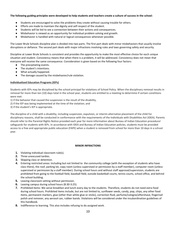## **The following guiding principles were developed to help students and teachers create a culture of success in the school:**

- Students are encouraged to solve the problems they create without causing trouble for others.
- Efforts are made to maintain the dignity and self-respect of the student.
- Students will be led to see a connection between their actions and consequences.
- Misbehavior is viewed as an opportunity for individual problem solving and growth.
- Misbehavior is handled with natural or logical consequences whenever possible.

The Lower Brule Schools discipline plan is divided into two parts. The first part deals with minor misbehaviors that usually involve disruptions or defiance. The second part deals with major infractions involving rules and laws governing safety and security.

Discipline at Lower Brule Schools is consistent and provides the opportunity to make the most effective choice for each unique situation and student. Consistency means that when there is a problem, it will be addressed. Consistency does not mean that everyone will receive the same consequence. Consideration is given based on the following four factors:

- The precipitating events.
- The student's intentions.
- What actually happened.
- The damage caused by the misbehavior/rule violation.

## **Individualized Education Programs (IEPs)**

Students with IEPs may be disciplined by the school principal for violations of School Policy. When the disciplinary removal results in removal for more than ten (10) days total in the school year, students are entitled to a meeting to determine if certain conditions were met:

1) if the behavior that caused the suspension is the result of the disability,

2) if the IEP was being implemented at the time of the violation; and

3) if the student's IEP is appropriate.

The discipline of a child with a disability, including suspension, expulsion, or interim alternative placement of the child for disciplinary reasons, shall be conducted in conformance with the requirements of the Individuals with Disabilities Act (IDEA). Parents should refer to the Parental Rights Notice provided each year for more information about Bureau of Indian Education procedural safeguards for students with IEPs. In accordance with IDEA and Bureau of Indian Education policies, students must be provided access to a free and appropriate public education (FAPE) when a student is removed from school for more than 10 days in a school year.

## **MINOR INFRACTIONS**

- **1.** Violating individual classroom rule(s).
- **2.** Three unexcused tardies.
- **3.** Skipping class or detention.
- **4.** Entering restricted areas: Including but not limited to the community college (with the exception of students who have class there), the roof, parking lot, copy room (unless supervised or permission by a staff member), computer room (unless supervised or permission by a staff member). During school hours and without staff approval/supervision, students are prohibited from going to the football field, baseball field, outside basketball courts, tennis courts, school office, and behind the school building.
- **5.** Leaving classroom setting without permission.
- **6.** Leaving campus during school hours (8:30-3:25).
- **7.** Prohibited items: We serve breakfast and lunch every day to the students. Therefore, students do not need extra food during school hours. Prohibited items include, but are not limited to, sunflower seeds, candy, pop, chips, any other food items, permanent markers, glue (other than white glue or sticks), correction fluid, perfume/cologne/aftershave, fingernail polish and remover, any aerosol can, rubber bands. Violations will be considered under the insubordination guidelines of this handbook.
- **8.** Indifference to learning. This also includes refusing to do assigned work.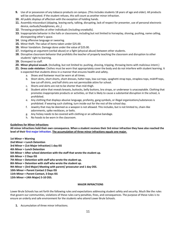- **9.** Use of or possession of any tobacco products on campus. (This includes students 18 years of age and older). All products will be confiscated. If the student refuses, this will count as another minor infraction.
- **10.** All public displays of affection with the exception of holding hands.
- **11.** Assembly misconduct (skipping, leaving early, talking, disrupting, lack of respect for presenter, use of personal electronic device, earbuds/headphones, etc.,)
- **12.** Throwing projectiles at other individuals (including snowballs).
- **13.** Inappropriate behavior in the halls or classrooms, including but not limited to horseplay, shoving, pushing, name calling, disrespecting other's space.
- **14.** Using offensive language or swearing.
- **15.** Minor theft. The value of items taken under \$25.00.
- **16.** Minor Vandalism. Damage done under the value of \$25.00.
- **17.** Instigating an argument (verbal abuse) or a fight (physical abuse) between other students.
- **18.** Disruptive classroom behavior that prohibits the teacher of properly teaching the classroom and disruption to other students' right to learning.
- **19.** Disrespect to staff.
- **20. Minor physical assault.** (Including, but not limited to: pushing, shoving, tripping, throwing items with malicious intent.)
- **21. Dress code violation:** Clothes must be worn that appropriately cover the body and do not interfere with student learning. It is expected that students dress in a manner that ensures health and safety.
	- a. Shoes and footwear must be worn at all times.
	- b. Short skirts, short shorts, short dresses, halter tops, low-cut tops, spaghetti strap tops, strapless tops, midriff tops, low cut-off shirts, and half shirts are not permissible attire for school.
	- c. Shorts and skirts are not to be shorter than mid-thigh.
	- d. Student attire that reveals breasts, buttocks, belly buttons, bra straps, or underwear is unacceptable. Clothing that promotes inappropriate products or activities, or that is likely to cause a substantial disruption in the school, is prohibited.
	- e. Any clothing that displays abusive language, profanity, gang symbols, or illegal organizations/substances is prohibited. If wearing such clothing, turn inside-out for the rest of the school day.
	- f. Jewelry that may be deemed as a weapon is not allowed. This includes, but is not limited to, chain-like adornments, spike necklaces, or belts.
	- g. Any hickey needs to be covered with clothing or an adhesive bandage.
	- h. No hoods to be worn in the classroom.

## **Guidelines for Minor Infractions**

**All minor infractions hold their own consequence. When a student receives their 3rd minor infraction they have also reached the level of their first major infraction. The accumulation of three minor infractions equals one major.** 

**1st Minor = Warning 2nd Minor = Lunch Detention 3rd Minor = (1st Major Infraction) 1 day ISS 4th Minor = Lunch Detention 5th Minor = After school detention with the staff that wrote the student up. 6th Minor = 2 Days ISS 7th Minor = Detention with staff who wrote the student up. 8th Minor = Detention with staff who wrote the student up. 9th Minor = (3rd Major) Meeting with parent/ prosecutor and 1 day OSS. 10th Minor = Parent Contact 2 Days ISS 11th Minor = Parent Contact, 3 Days ISS** 

**12th Minor = (4th Major) 5-10 OSS.**

## **MAJOR INFRACTIONS**

Lower Brule Schools has set forth the following rules and expectations addressing student safety and security. Much like the rules that govern our communities, violations of these rules carry penalties, fines, and consequences. The purpose of these rules is to ensure an orderly and safe environment for the students who attend Lower Brule Schools.

**1.** Accumulation of three minor infractions.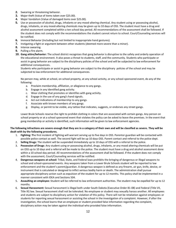- **2.** Swearing or threatening behavior.
- **3.** Major theft (Value of items taken over \$25.00).
- **4.** Major Vandalism (Value of damaged items over \$25.00).
- **5.** Use or possession of alcohol, drugs, inhalants or any mood-altering chemical. Any student using or possessing alcohol, drugs, inhalants, or any mood-altering chemicals may be given up to 10 days of OSS. The student must have a drug and alcohol assessment completed within a ten school day period. All recommendations of the assessment shall be followed. If the student does not comply with the recommendations the student cannot return to school. Court/Counseling services will be notified.
- **6.** Immoral Behavior (Including but not limited to inappropriate hand gestures).
- **7.** Instigating a fight or argument between other students (deemed more severe than a minor).
- **8.** Intense swearing.
- **9.** Pulling a fire alarm.
- **10. Gang attire/behavior:** The school district recognizes that gang behavior is disruptive to the safety and orderly operation of the educational environment. It also poses a threat to students, staff, and the community. Students who participate or assist in gang behavior are subject to the disciplinary policies of the school and will be subjected to law enforcement for additional consequences.

Students who participate or assist in gang behavior are subject to the disciplinary policies of the school and may be subjected to law enforcement for additional consequences.

No person may, while at school, on school property, at any school activity, or any school-sponsored event, do any of the following:

- a. Proclaim membership, affiliation, or allegiance to any gangs.
- b. Engage in any identified gang activity.
- c. Wear clothing that promotes or identifies with gang activity.
- d. Engage in the use of any gang's hand signals.
- e. Act out indications of membership to any gangs.
- f. Associate with known members of any gangs.
- g. Display, or permit to be visible, any tattoo that indicates, suggests, or endorses any street gangs.

Lower Brule Schools reserve the right to prohibit clothing in colors that are associated with certain gangs. Any person on school property or at a school sponsored event that violates the policy can be asked to leave the premises. In the event that gang membership or activity is identified, such information will be given to law enforcement agencies.

## **The following infractions are severe enough that they are in a category of their own and will be classified as severe. They will be dealt with by the following procedures.**

- 1. **Fighting: T**he first incident of fighting will warrant serving up to five days in OSS. Parentor guardian will be contacted with possible police contact as well. The second fight will be up 10 days OSS. Parent contact and referral to the police dept.
- 2. **Selling Drugs:** The student will be suspended immediately up to 10 days of OSS with a referral to the police.
- 3. **Possession of Drugs**: Any student using or possessing alcohol, drugs, inhalants, or any mood altering chemicals will be put on OSS up to 10 days and a referral will be made to the police. The student must have a drug and alcohol assessment done within a 10 school-day period. All recommendations of the assessment shall be followed. If the student does not comply with the assessment, Court/Counseling services will be notified.
- 4. **Dangerous weapons at school:** Tribal, State, and Federal laws prohibits the bringing of dangerous or illegal weapons to school and school-sponsored events. Any weapons taken from a Lower Brule Schools student will be reported to law enforcement and the student's parent/guardian. A dangerous weapon is defined as any firearm, air gun, knife, device, or instrument that is calculated or designed to inflict serious bodily harm or death. The administration shall pursue appropriate disciplinary action such as expulsion of the student for up to 12 months. This policy shall be implemented in a manner consistent with IDEA and Sections 504.
- 5. **Assaulting an employee:** Student will be referred to law enforcement authorities. The student may be expelled for up to 12 months.
- 6. **Sexual Harassment:** Sexual harassment is illegal both under South Dakota (Executive Order 81-08) and Federal (Title VII, Title IX) law. Sexual harassment shall not be tolerated. No employee or student may sexually harass another. All employees and students are subject to disciplinary action for violation of this policy. There will not be retaliation against employees or students for reporting sexual harassment or assisting the school in the investigation of a complaint. However, if after the investigation, the school learns that an employee or student provided false information regarding the complaint, disciplinary action may be taken against the individual who provided false information.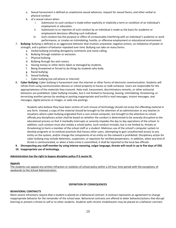- a. Sexual harassment is defined as unwelcome sexual advances, request for sexual favors, and other verbal or physical conduct
- b. of a sexual nature when:
	- i. Submission to such conduct is made either explicitly or implicitly a term or condition of an individual's employment or education.
	- ii. Submission to or rejection of such conduct by an individual is made as the basis for academic or employment decisions affecting such individual.
	- iii. Such conduct has the purpose or effect of unreasonably interfering with an individual's academic or work performance, or creates an intimidating, hostile, or offensive employment or educational environment.
- 7. **Bullying:** Bullying is defined as an aggressive behavior that involves unwanted, negative actions, an imbalance of power or strength, and a pattern of behavior repeated over time. Bullying can take on many forms:
	- a. Verbal bullying including derogatory comments and name calling.
	- b. Bullying through isolation or exclusion.
	- c. Physical bullying.
	- d. Bullying through lies and rumors.
	- e. Having money or other items taken or damaged by students.
	- f. Being threatened or forced to do things by students who bully.
	- g. Racial bullying.
	- h. Sexual bullying.
	- i. Cyber bullying (via cell phone or internet)
- 8. **Cyber Bullying:** Cyber bullying is harassment over the internet or other forms of electronic communication. Students will refrain from using communication devices or school property to harass or stalk someone. Users are responsible for the appropriateness of the materials they transmit. Hate mail, harassment, discriminatory remarks, or other antisocial behaviors are prohibited. Cyber bullying includes, but is not limited to harassing, teasing, intimidating, threatening, or terrorizing another person by sending or posting inappropriate and hurtful e-mail messages, instant messages, text messages, digital pictures or images, or web-site postings.

Students who believe they have been victims of such misuse of technology should not erase the offending material in any form. Instead, a copy of the material should be brought to the attention of an administrator or any teacher.In situations where cyber bullying originated from a non-school computer, but brought to the attention to school officials,any disciplinary action shall be based on whether the conduct is determined to be severely disruptive to the educational process so that it markedly interrupts or severely impedes the day to day operations of the school. In addition, such conduct must also violate a school policy. Such conduct includes, but is not limited to, threats or threatening to harm a member of the school staff or a student. Malicious use of the school's computer system to develop programs or to institute practices that harass other users, attempting to gain unauthorized access to any entity on the system, and/or change the components of an entity on the network is prohibited. Disciplinary action for cyber bullying may include detention, suspension, or expulsion for verified perpetrators. In addition, when any kind of threat is communicated, or when a hate crime is committed, it shall be reported to the local law officials.

- **9. Disrespecting any staff member by using intense swearing, vulgar language, threats will result in up to five days of OSS.**
- **10. Inappropriate use of technology.**

## **Administration has the right to bypass discipline policy if it seems fit.**

## **Appeals**

The students can appeal any written infraction or violation of school policy within a 24 hour time period with the exceptions of weekends to the School Administration.

## **DEFINITION OF CONSEQUENCES**

## **BEHAVIORAL CONTRACTS**

More severe infractions require that a student is placed on a behavioral contract. A contract represents an agreement to change inappropriate behavior for the remainder of the school year. Behavioral contracts are offered to deter behavior/actions that disrupt learning or present a threat to self or to other students. Students with chronic misbehaviors may be placed on a behavior contract.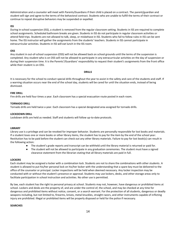Administration and a counselor will meet with Parents/Guardians if their child is placed on a contract. The parent/guardian and student will sign and agree to the terms of the behavioral contract. Students who are unable to fulfill the terms of their contract or continue to repeat disruptive behaviors may be suspended or expelled.

### **ISS**

During in-school suspension (ISS), a student is removed from the regular classroom setting. Students in ISS are required to complete school assignments. Scheduled bathroom breaks are given. Students in ISS do not participate in regular classroom activities or attend field trips. Students are not allowed to talk, sleep, or misbehave in ISS. Students who fail to follow rules in ISS can be sent home. The ISS instructor will gather the assignments from the students' teachers. Students in ISS cannot participate in extracurricular activities. Students in ISS will eat lunch in the ISS room.

### **OSS**

Any student in out-of-school suspension (OSS) will not be allowed back on school grounds until the terms of the suspension is completed. Any student who is on OSS will not be allowed to participate in any extracurricular activities on the day of suspension or during their suspension time. It is the Parents'/Guardians' responsibility to request their student's assignments from the front office while their student is on OSS.

#### **DRILLS**

It is necessary for the school to conduct special drills throughout the year to assist in the safety and care of the students and staff. If a warning situation occurs near the end of the school day, students will be cared for until the situation ends, instead of being dismissed.

### **FIRE DRILL**

Fire drills are held four times a year. Each classroom has a special evacuation route posted in each room.

### **TORNADO DRILL**

Tornado drills are held twice a year. Each classroom has a special designated area assigned for tornado drills.

#### **LOCKDOWN DRILL**

Lockdown drills are held as needed. Staff and students will follow up-to-date protocols.

#### **LIBRARY**

Library use is a privilege and can be revoked for improper behavior. Students are personally responsible for lost books and materials. If a student loses one or more books or other library items, the student has to pay for the item by the end of the school year. Restitution has to be paid before the student can check out any other library materials. Failure to pay for lost book(s) can result in the following action:

- The student's grade reports and transcript can be withheld until the library material is returned or paid for.
- The student will not be allowed to participate in any graduation ceremonies. The student must have a signed clearance statement from the librarian stating that all library materials are paid in full.

### **LOCKERS**

Each student may be assigned a locker with a combination lock. Students are not to share the combinations with other students. A student is allowed to put his/her personal lock on his/her locker with the understanding that a spare key must be delivered to the office of the counselor or principal. Locker inspections will be held when deemed necessary. Any locker inspection may be conducted with or without the student's presence or approval. Students may use lockers, desks, and other storage areas only to facilitate participation in school instruction and activities. No other use is permitted.

By law, each student has the right to personal privacy at school. Students may not, however, have dangerous or prohibited items at school. Lockers and desks are the property of, and are under the control of, the school, and may be checked at any time for dangerous and prohibited items without notice, consent, or a search warrant. For the protection of all students, dangerous or deadly weapons including, but not limited to, firearms, knives, metal knuckles, straight razors, and other instruments capable of inflicting injury are prohibited. Illegal or prohibited items will be properly disposed or held for the police if necessary.

#### **SEARCHES**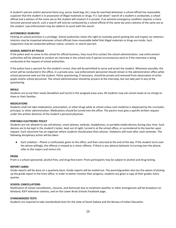A student's person and/or personal items (e.g. purse, book bag, etc.) may be searched whenever a school official has reasonable suspicion that the student is in possession of illegal materials or drugs. If a "pat down" search of a student is conducted, a school official and a witness of the same sex as the student will conduct it in private. If an extreme emergency condition requires a more intrusive personal search, such a search will only be conducted by a school official of the same sex and a witness of the same sex as the student. Law enforcement may be called in to assist with the search.

### **AUTOMOBILE SEARCHES**

Parking on school premises is a privilege. School authorities retain the right to routinely patrol parking lots and inspect car exteriors. Interiors may be inspected whenever school officials have reasonable belief that illegal materials or drugs are inside. Such inspections may be conducted without notice, consent, or search warrant.

### **SCHOOL ARRESTS BY POLICE**

If the police wish to come to the school for official business, they must first contact the school administration. Law enforcement authorities will be allowed to conduct an interview in the school only if special circumstances exist or if the interview is being conducted at the request of school authorities.

If the police have a warrant for the student's arrest, they will be permitted to serve and arrest the student. Whenever possible, the arrest will be conducted in the office, in a private area. Law enforcement personnel should remain in the administration office while school personnel seek out the student. Police questioning, if necessary, should be private and removed from observation of other pupils and/or school personnel. The school administration should be present at the interview, but not take part in any of the questioning.

#### **MEALS**

Students are to eat their meals (breakfast and lunch) in the assigned areas area. All students may eat school meals at no charge to them or their families.

#### **MEDICATIONS**

Students shall not take medications, prescription, or other drugs while at school unless such medicine is dispensed by the counselor, principal, or other administration. Medications should be turned into the office. The parent must give a specific written request under the written directive of the student's personal physician.

#### **PORTABLE ELECTRONIC POLICY**

Students are not allowed to use cell phones, smart phones, earbuds, headphones, or portable media devices during class time. Such devices are to be kept in the student's locker, kept out of sight, turned in at the school office, or surrendered to the teacher upon request. Each classroom has an organizer where students should place their phones. Violations will reset after each semester. The following disciplinary action will be taken.

● Each violation – Phone is confiscated, given to the office, and then returned at the end of the day. If the student turns over the phone willingly, the offense is treated as a minor offense. If there is any adverse behavior to turning over the phone, refer to the majors and minors list.

#### **PROM**

Prom is a school-sponsored, alcohol-free, and drug-free event. Prom participants may be subject to alcohol and drug testing.

## **REPORT CARDS**

Grade reports will be done on a quarterly basis. Grade reports will be mailed out. The parent/guardian also has the option of picking up the grade report in the front office. In order to better monitor their progress, students are given a copy of their grades every quarter.

#### **SCHOOL CANCELLATIONS**

Notification of school cancellations, closures, and dismissals due to inclement weather or other emergencies will be broadcast on Keloland, KSFY television stations, and on the Lower Brule Schools Facebook page..

#### **STANDARDIZED TESTS**

Students are required to take standardized tests for the state of South Dakota and the Bureau of Indian Education.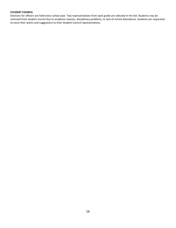### **STUDENT COUNCIL**

Elections for officers are held every school year. Two representatives from each grade are selected in the fall. Students may be removed from student council due to academic reasons, disciplinary problems, or lack of school attendance. Students are requested to voice their wants and suggestions to their Student Council representatives.